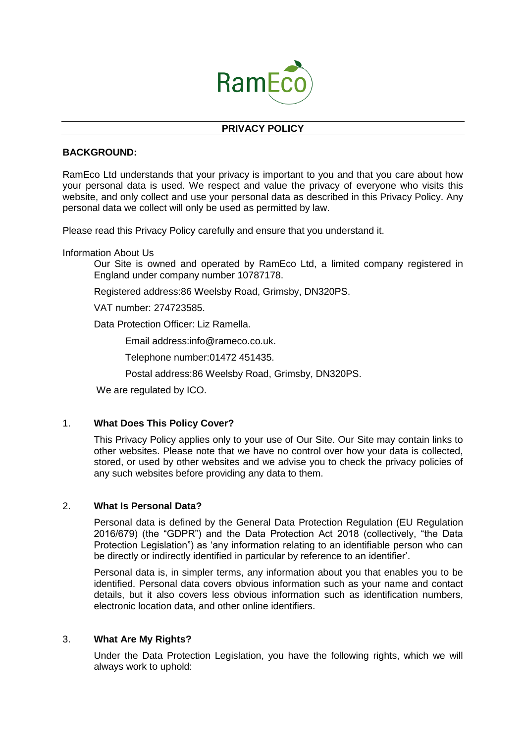

## **PRIVACY POLICY**

## **BACKGROUND:**

RamEco Ltd understands that your privacy is important to you and that you care about how your personal data is used. We respect and value the privacy of everyone who visits this website, and only collect and use your personal data as described in this Privacy Policy. Any personal data we collect will only be used as permitted by law.

Please read this Privacy Policy carefully and ensure that you understand it.

Information About Us

Our Site is owned and operated by RamEco Ltd, a limited company registered in England under company number 10787178.

Registered address:86 Weelsby Road, Grimsby, DN320PS.

VAT number: 274723585.

Data Protection Officer: Liz Ramella.

Email address:info@rameco.co.uk.

Telephone number:01472 451435.

Postal address:86 Weelsby Road, Grimsby, DN320PS.

We are regulated by ICO.

# 1. **What Does This Policy Cover?**

This Privacy Policy applies only to your use of Our Site. Our Site may contain links to other websites. Please note that we have no control over how your data is collected, stored, or used by other websites and we advise you to check the privacy policies of any such websites before providing any data to them.

#### 2. **What Is Personal Data?**

Personal data is defined by the General Data Protection Regulation (EU Regulation 2016/679) (the "GDPR") and the Data Protection Act 2018 (collectively, "the Data Protection Legislation") as 'any information relating to an identifiable person who can be directly or indirectly identified in particular by reference to an identifier'.

Personal data is, in simpler terms, any information about you that enables you to be identified. Personal data covers obvious information such as your name and contact details, but it also covers less obvious information such as identification numbers, electronic location data, and other online identifiers.

#### 3. **What Are My Rights?**

Under the Data Protection Legislation, you have the following rights, which we will always work to uphold: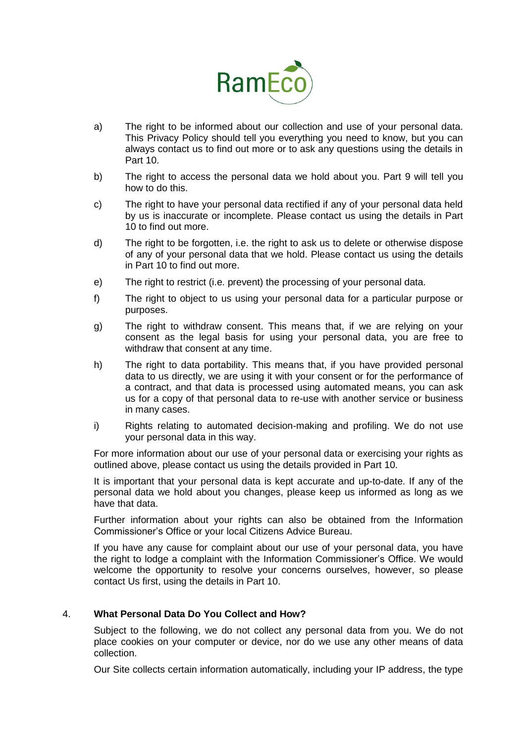

- a) The right to be informed about our collection and use of your personal data. This Privacy Policy should tell you everything you need to know, but you can always contact us to find out more or to ask any questions using the details in Part 10.
- b) The right to access the personal data we hold about you. Part 9 will tell you how to do this.
- c) The right to have your personal data rectified if any of your personal data held by us is inaccurate or incomplete. Please contact us using the details in Part 10 to find out more.
- d) The right to be forgotten, i.e. the right to ask us to delete or otherwise dispose of any of your personal data that we hold. Please contact us using the details in Part 10 to find out more.
- e) The right to restrict (i.e. prevent) the processing of your personal data.
- f) The right to object to us using your personal data for a particular purpose or purposes.
- g) The right to withdraw consent. This means that, if we are relying on your consent as the legal basis for using your personal data, you are free to withdraw that consent at any time.
- h) The right to data portability. This means that, if you have provided personal data to us directly, we are using it with your consent or for the performance of a contract, and that data is processed using automated means, you can ask us for a copy of that personal data to re-use with another service or business in many cases.
- i) Rights relating to automated decision-making and profiling. We do not use your personal data in this way.

For more information about our use of your personal data or exercising your rights as outlined above, please contact us using the details provided in Part 10.

It is important that your personal data is kept accurate and up-to-date. If any of the personal data we hold about you changes, please keep us informed as long as we have that data.

Further information about your rights can also be obtained from the Information Commissioner's Office or your local Citizens Advice Bureau.

If you have any cause for complaint about our use of your personal data, you have the right to lodge a complaint with the Information Commissioner's Office. We would welcome the opportunity to resolve your concerns ourselves, however, so please contact Us first, using the details in Part 10.

# 4. **What Personal Data Do You Collect and How?**

Subject to the following, we do not collect any personal data from you. We do not place cookies on your computer or device, nor do we use any other means of data collection.

Our Site collects certain information automatically, including your IP address, the type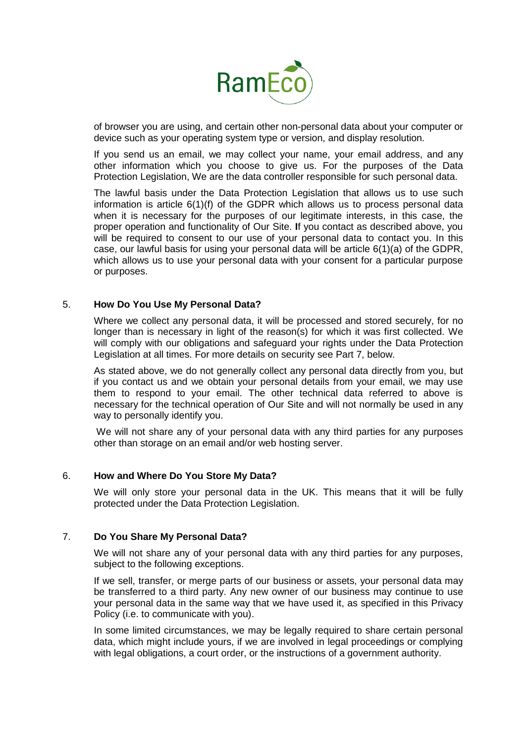

of browser you are using, and certain other non-personal data about your computer or device such as your operating system type or version, and display resolution.

If you send us an email, we may collect your name, your email address, and any other information which you choose to give us. For the purposes of the Data Protection Legislation, We are the data controller responsible for such personal data.

The lawful basis under the Data Protection Legislation that allows us to use such information is article 6(1)(f) of the GDPR which allows us to process personal data when it is necessary for the purposes of our legitimate interests, in this case, the proper operation and functionality of Our Site. **I**f you contact as described above, you will be required to consent to our use of your personal data to contact you. In this case, our lawful basis for using your personal data will be article 6(1)(a) of the GDPR, which allows us to use your personal data with your consent for a particular purpose or purposes.

#### 5. **How Do You Use My Personal Data?**

Where we collect any personal data, it will be processed and stored securely, for no longer than is necessary in light of the reason(s) for which it was first collected. We will comply with our obligations and safeguard your rights under the Data Protection Legislation at all times. For more details on security see Part 7, below.

As stated above, we do not generally collect any personal data directly from you, but if you contact us and we obtain your personal details from your email, we may use them to respond to your email. The other technical data referred to above is necessary for the technical operation of Our Site and will not normally be used in any way to personally identify you.

We will not share any of your personal data with any third parties for any purposes other than storage on an email and/or web hosting server.

#### 6. **How and Where Do You Store My Data?**

We will only store your personal data in the UK. This means that it will be fully protected under the Data Protection Legislation.

### 7. **Do You Share My Personal Data?**

We will not share any of your personal data with any third parties for any purposes, subject to the following exceptions.

If we sell, transfer, or merge parts of our business or assets, your personal data may be transferred to a third party. Any new owner of our business may continue to use your personal data in the same way that we have used it, as specified in this Privacy Policy (i.e. to communicate with you).

In some limited circumstances, we may be legally required to share certain personal data, which might include yours, if we are involved in legal proceedings or complying with legal obligations, a court order, or the instructions of a government authority.